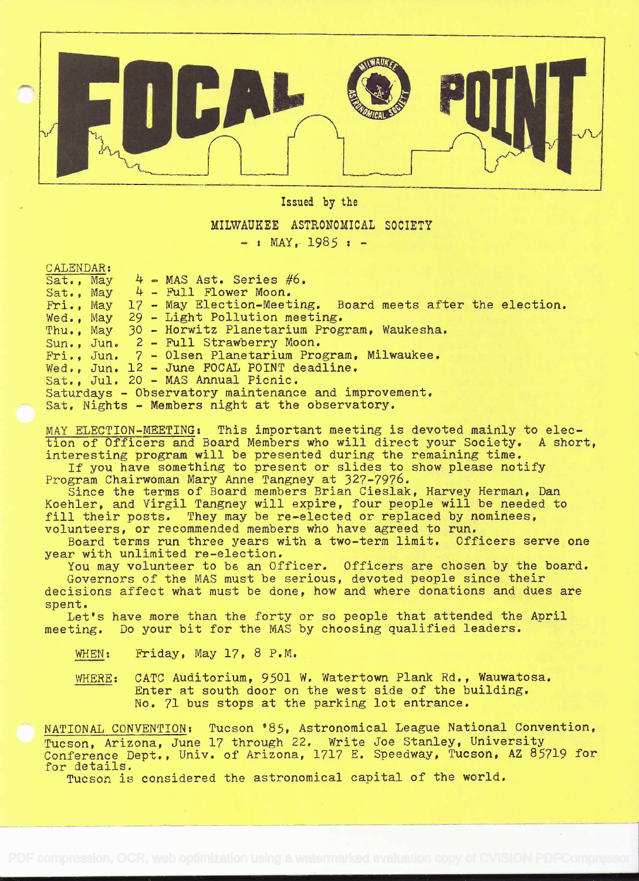

Issued by the

MILWAUKEE ASTRONOMICAL SOCIETY<br>- : MAY, 1985 : -

CALENDAR:

Sat., May Sat. , May Fri., May 17 - May Election-Meeting. Board meets after the election. Wed., May 29 - Light Pollution meeting. Thu., May 30 - Horwitz Planetarium Program, Waukesha. Sun., Jun. Fri. , Jun. Wed., Jun. Sat., Jul. 20 - MAS Annual Picnic. Saturdays - Observatory maintenance and improvement. Sat. Nights - Members night at the observatory.  $4$   $\bullet$  MAS Ast. Series #6.  $4$  - Full Flower Moon. 2 - Full Strawberry Moon. 7 - Olsen Planetarium Program, Milwaukee. 12 - June FOCAL POINT deadline.

MAY ELECTION-MEETING: This important meeting is devoted mainly to election of Officers and Board Members who will direct your Society. A short. interesting program will be presented during the remaining time.

If you have something to present or slides to show please notify Program Chairwoman Mary Anne Tangney at 327-7976,

Since the terms of Board members Brian Cieslak, Harvey Herman, Dan Koehler, and Virgil Tangney will expire, four people will be needed to fill their posts. They may be re-elected or replaced by nominees, volunteers, or recommended members who have agreed to run.

Board terms run three years with a two-term limit. Officers serve one year with unlimited re-election.

You may volunteer to be an Officer. Officers are chosen by the board. Governors of the MAS must be serious, devoted people since their

decisions affect what must be done, how and where donations and dues are spent.

Let's have more than the forty or so people that attended the April meeting. Do your bit for the MAS by choosing qualified leaders.

- WHEN: Friday, May 17, 8 P.M.
- WHERE: CATO Auditorium, 9501 W, Watertown Plank Rd., Wauwatosa. Enter at south door on the west side of the building. No. 71 bus stops at the parking lot entrance.

NATIONAL CONVENTION: Tucson '85, Astronomical League National Convention, Tucson, Arizona, June 17 through 22, Write Joe Stanley, University Conference Dept., Univ. of Arizona, 1717 E. Speedway, Tucson, AZ 85719 for for details.

Tucson is considered the astronomical capital of the world.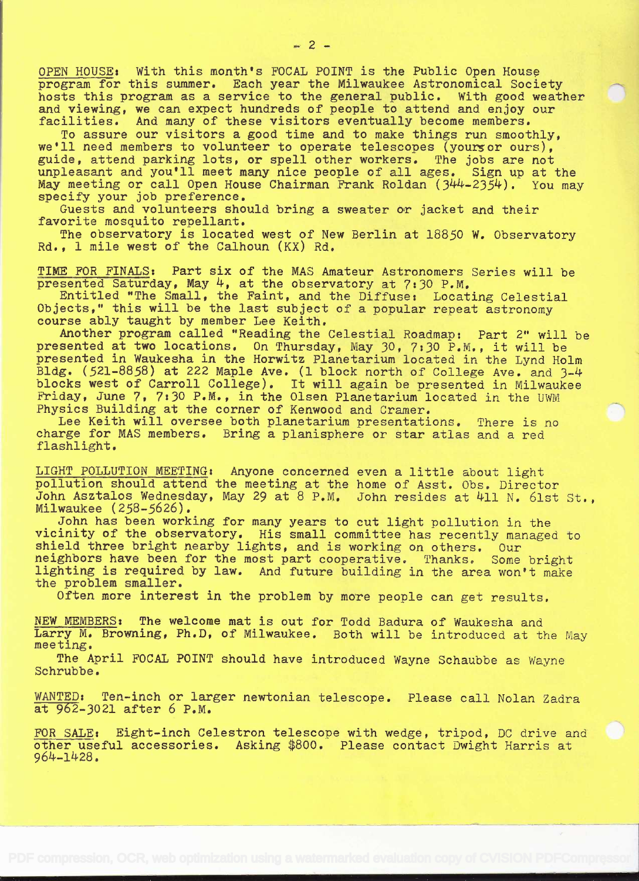OPEN HOUSE: With this month's FOCAL POINT is the Public Open House program for this summer. Each year the Milwaukee Astronomical Society hosts this program as a service to the general public. With good weather and viewing, we can expect hundreds of people to attend and enjoy our facilities. And many of these visitors eventually become members.

To assure our visitors a good time and to make things run smoothly, we'll need members to volunteer to operate telescopes (yours or ours), guide, attend parking lots, or spell other workers. The jobs are not unpleasant and you'll meet many nice people of all ages. Sign up at the May meeting or call Open House Chairman Frank Roldan (344-2354). You may specify your job preference.

Guests and volunteers should bring a sweater or jacket and their favorite mosquito repellant.

The observatory is located west of New Berlin at 18850 W. Observatory Rd., 1 mile west of the Calhoun (Kx) Rd.

TIME FOR FINALS: Part six of the MAS Amateur Astronomers Series will be presented Saturday, May  $4$ , at the observatory at  $7:30$  P.M.

Entitled "The Small, the Faint, and the Diffuse: Locating Celestial Objects,' this will be the last subject of a popular repeat astronomy course ably taught by member Lee Keith.

Another program called "Reading the Celestial Roadmap: Part 2' will be presented at two locations. On Thursday, May 30, 7:30 P.M., it will be presented in Waukesha in the Horwitz Planetarium located in the Lynd Holm Bldg. (521-8858) at 222 Maple Ave. (1 block north of College Ave. and 3-4 blocks west of Carroll College). It will again be presented in Milwaukee Friday, June 7, 7:30 P.M., in the Olsen Planetarium located in the UWM Physics Building at the corner of Kenwood and Cramer,

Lee Keith will oversee both planetarium presentations. There is no charge for MAS members. Bring a planisphere or star atlas and a red flashlight.

LIGHT POLLUTION MEETING: Anyone concerned even a little about light pollution should attend the meeting at the home of Asst. Obs. Director John Asztalos Wednesday, May 29 at 8 P.M. John resides at 411 N. 61st St., Milwaukee (258-5626).

John has been working for many years to cut light pollution in the vicinity of the observatory. His small committee has recently managed to shield three bright nearby lights, and is working on others. Our<br>neighbors have been for the most part cooperative. Thanks. Some bright lighting is required by law. And future building in the area won't make the problem smaller.

Often more interest in the problem by more people can get results,

NEW MEMBERS: The welcome mat is out for Todd Badura of Waukesha and Larry M. Browning, Ph.D, of Milwaukee. Both will be introduced at the May meeting.

The April FOCAL POINT should have introduced Wayne Schaubbe as Wayne Schrubbe.

WANTED: Ten-inch or larger newtonian telescope. Please call Nolan Zadra at 962-3021 after 6 P.M.

FOR SALE: Eight-inch Celestron telescope with wedge, tripod, DC drive and other useful accessories. Asking \$800. Please contact Dwight Harris at 96k-1428.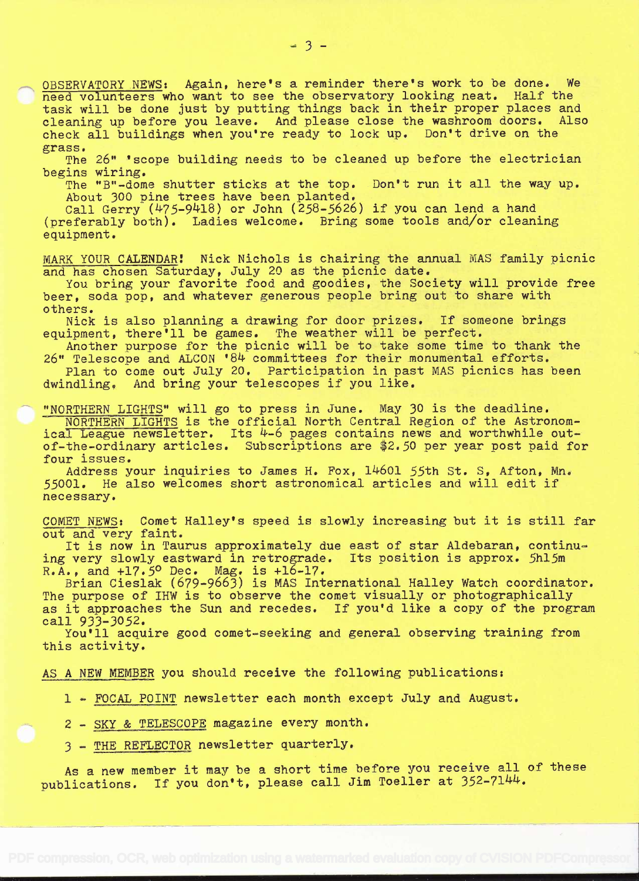OBSERVATORY NEWS: Again, here's a reminder there's work to be done. We need volunteers who want to see the observatory looking neat. Half the task will be done just by putting things back in their proper places and cleaning up before you leave. And please close the washroom doors. Also<br>check all buildings when you're ready to lock up. Don't drive on the check all buildings when you're ready to lock up. grass.

The 26" 'scope building needs to be cleaned up before the electrician begins wiring.

The "B"-dome shutter sticks at the top. Don't run it all the way up. About 300 pine trees have been planted.

Call Gerry  $(475-9418)$  or John  $(258-5626)$  if you can lend a hand (preferably both). Ladies welcome. Bring some tools and/or cleaning equipment.

MARK YOUR CALENDARi Nick Nichols is chairing the annual MAS family picnic and has chosen Saturday, July 20 as the picnic date.

You bring your favorite food and goodies, the Society will provide free beer, soda pop, and whatever generous people bring out to share with others.

Nick is also planning a drawing for door prizes. If someone brings equipment, there'll be games. The weather will be perfect.

Another purpose for the picnic will be to take some time to thank the 26" Telescope and ALCON '84 committees for their monumental efforts.

Plan to come out July 20. Participation in past MAS picnics has been dwindling. And bring your telescopes if you like.

"NORTHERN LIGHTS" will go to press in June. May 30 is the deadline. NORTHERN LIGHTS is the official North Central Region of the Astronomical League newsletter. Its  $4-6$  pages contains news and worthwhile outof-the-ordinary articles. Subscriptions are \$2.50 per year post paid for four issues.

Address your inquiries to James H. Fox, l46Ol 55th St. S, Afton, Mn. 55001. He also welcomes short astronomical articles and will edit if necessary.

COMET NEWS: Comet Halley's speed is slowly increasing but it is still far out and very faint.

It is now in Taurus approximately due east of star Aldebaran, continu-<br>very slowly eastward in retrograde. Its position is approx. 5hl5m ing very slowly eastward in retrograde.  $R.A.,$  and  $+17.5^{\circ}$  Dec. Mag. is  $+16-17.$ 

Brian Cieslak (679-9663) is MAS International Halley Watch coordinator. The purpose of IHW is to observe the comet visually or photographically as it approaches the Sun and recedes. If you'd like a copy of the program call 933-3052.

You'll acquire good comet-seeking and general observing training from this activity.

AS A NEW MEMBER you should receive the following publications:

1 - FOCAL POINT newsletter each month except July and August.

<sup>2</sup>- SKY & TELESCOPE magazine every month.

<sup>3</sup>- THE REFLECTOR newsletter quarterly.

As a new member it may be a short time before you receive all of these publications. If you don't, please call Jim Toeller at 352-7144.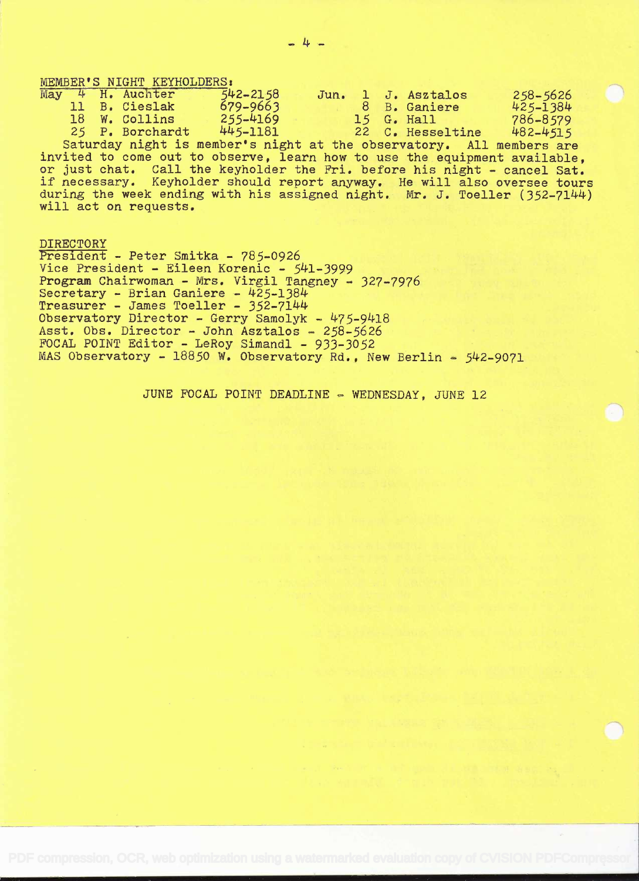|  | MEMBER'S NIGHT KEYHOLDERS: |              |  |                    |              |  |
|--|----------------------------|--------------|--|--------------------|--------------|--|
|  | May 4 H. Auchter           | $542 - 2158$ |  | Jun. 1 J. Asztalos | $258 - 5626$ |  |
|  | 11 B. Cieslak              | $679 - 9663$ |  | 8 B. Ganiere       | $425 - 1384$ |  |
|  | 18 W. Collins              | $255 - 4169$ |  | $15$ G. Hall       | 786-8579     |  |
|  | 25 P. Borchardt            | 445-1181     |  | 22 C. Hesseltine   | 482-4515     |  |

Saturday night is member's night at the observatory. All members are invited to come out to observe, learn how to use the equipment available, or just chat. Call the keyholder the Fri. before his night - cancel Sat. if necessary. Keyholder should report anyway. He will also oversee tours during the week ending with his assigned night. Mr. J. Toeller (352-7144) will act on requests.

### DIRECTORY

President - Peter Smitka - 785-0926 Vice President - Eileen Korenic - 541-3999 Program Chairwoman - Mrs. Virgil Tangney - 327-7976 Secretary - Brian Ganiere - 425-1384 Treasurer - James Toeller - 352-7144 Observatory Director - Gerry Samolyk -  $475-9418$ Asst. Obs. Director - John Asztalos -  $258-5626$ FOCAL POINT Editor - LeRoy Simandl - 933-3052 MAS Observatory - 18850 W. Observatory Rd., New Berlin - 542-9071

JUNE FOCAL POINT DEADLINE - WEDNESDAY, JUNE 12